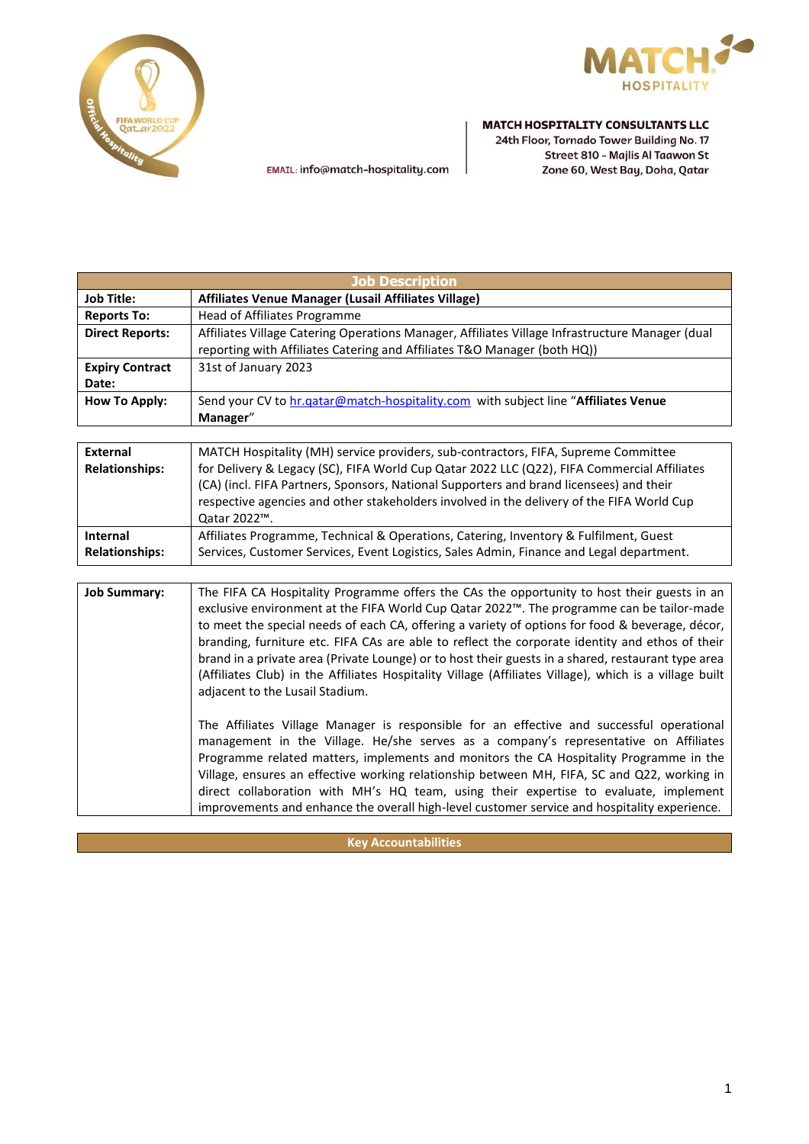



EMAIL: info@match-hospitality.com

#### **MATCH HOSPITALITY CONSULTANTS LLC**

24th Floor, Tornado Tower Building No. 17 Street 810 - Majlis Al Taawon St Zone 60, West Bay, Doha, Qatar

| <b>Job Description</b> |                                                                                                                                                                             |
|------------------------|-----------------------------------------------------------------------------------------------------------------------------------------------------------------------------|
| <b>Job Title:</b>      | Affiliates Venue Manager (Lusail Affiliates Village)                                                                                                                        |
| <b>Reports To:</b>     | Head of Affiliates Programme                                                                                                                                                |
| <b>Direct Reports:</b> | Affiliates Village Catering Operations Manager, Affiliates Village Infrastructure Manager (dual<br>reporting with Affiliates Catering and Affiliates T&O Manager (both HQ)) |
| <b>Expiry Contract</b> | 31st of January 2023                                                                                                                                                        |
| Date:                  |                                                                                                                                                                             |
| How To Apply:          | Send your CV to hr.gatar@match-hospitality.com with subject line "Affiliates Venue                                                                                          |
|                        | Manager"                                                                                                                                                                    |

| External<br><b>Relationships:</b> | MATCH Hospitality (MH) service providers, sub-contractors, FIFA, Supreme Committee<br>for Delivery & Legacy (SC), FIFA World Cup Qatar 2022 LLC (Q22), FIFA Commercial Affiliates<br>(CA) (incl. FIFA Partners, Sponsors, National Supporters and brand licensees) and their<br>respective agencies and other stakeholders involved in the delivery of the FIFA World Cup<br>Qatar 2022™. |
|-----------------------------------|-------------------------------------------------------------------------------------------------------------------------------------------------------------------------------------------------------------------------------------------------------------------------------------------------------------------------------------------------------------------------------------------|
| Internal                          | Affiliates Programme, Technical & Operations, Catering, Inventory & Fulfilment, Guest                                                                                                                                                                                                                                                                                                     |
| <b>Relationships:</b>             | Services, Customer Services, Event Logistics, Sales Admin, Finance and Legal department.                                                                                                                                                                                                                                                                                                  |

Job Summary: | The FIFA CA Hospitality Programme offers the CAs the opportunity to host their guests in an exclusive environment at the FIFA World Cup Qatar 2022™. The programme can be tailor-made to meet the special needs of each CA, offering a variety of options for food & beverage, décor, branding, furniture etc. FIFA CAs are able to reflect the corporate identity and ethos of their brand in a private area (Private Lounge) or to host their guests in a shared, restaurant type area (Affiliates Club) in the Affiliates Hospitality Village (Affiliates Village), which is a village built adjacent to the Lusail Stadium.

> The Affiliates Village Manager is responsible for an effective and successful operational management in the Village. He/she serves as a company's representative on Affiliates Programme related matters, implements and monitors the CA Hospitality Programme in the Village, ensures an effective working relationship between MH, FIFA, SC and Q22, working in direct collaboration with MH's HQ team, using their expertise to evaluate, implement improvements and enhance the overall high-level customer service and hospitality experience.

> > **Key Accountabilities**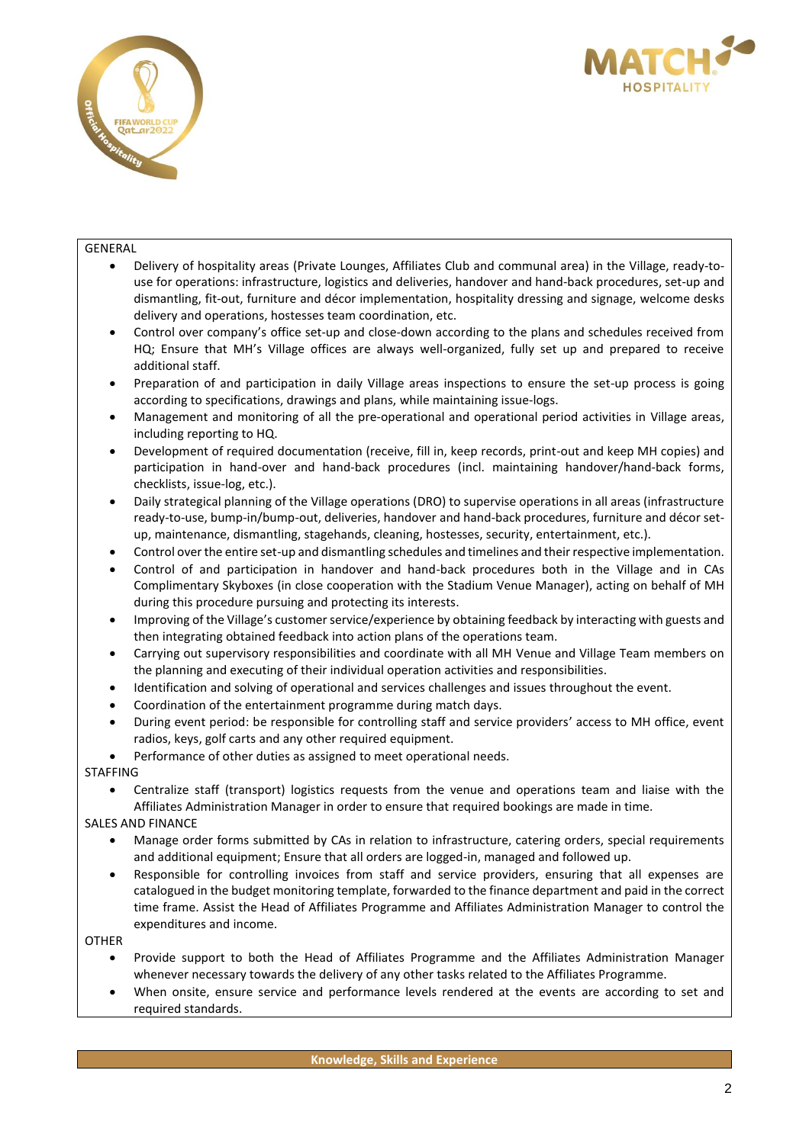



#### GENERAL

- Delivery of hospitality areas (Private Lounges, Affiliates Club and communal area) in the Village, ready-touse for operations: infrastructure, logistics and deliveries, handover and hand-back procedures, set-up and dismantling, fit-out, furniture and décor implementation, hospitality dressing and signage, welcome desks delivery and operations, hostesses team coordination, etc.
- Control over company's office set-up and close-down according to the plans and schedules received from HQ; Ensure that MH's Village offices are always well-organized, fully set up and prepared to receive additional staff.
- Preparation of and participation in daily Village areas inspections to ensure the set-up process is going according to specifications, drawings and plans, while maintaining issue-logs.
- Management and monitoring of all the pre-operational and operational period activities in Village areas, including reporting to HQ.
- Development of required documentation (receive, fill in, keep records, print-out and keep MH copies) and participation in hand-over and hand-back procedures (incl. maintaining handover/hand-back forms, checklists, issue-log, etc.).
- Daily strategical planning of the Village operations (DRO) to supervise operations in all areas (infrastructure ready-to-use, bump-in/bump-out, deliveries, handover and hand-back procedures, furniture and décor setup, maintenance, dismantling, stagehands, cleaning, hostesses, security, entertainment, etc.).
- Control over the entire set-up and dismantling schedules and timelines and their respective implementation.
- Control of and participation in handover and hand-back procedures both in the Village and in CAs Complimentary Skyboxes (in close cooperation with the Stadium Venue Manager), acting on behalf of MH during this procedure pursuing and protecting its interests.
- Improving of the Village's customer service/experience by obtaining feedback by interacting with guests and then integrating obtained feedback into action plans of the operations team.
- Carrying out supervisory responsibilities and coordinate with all MH Venue and Village Team members on the planning and executing of their individual operation activities and responsibilities.
- Identification and solving of operational and services challenges and issues throughout the event.
- Coordination of the entertainment programme during match days.
- During event period: be responsible for controlling staff and service providers' access to MH office, event radios, keys, golf carts and any other required equipment.
- Performance of other duties as assigned to meet operational needs.

# STAFFING

- Centralize staff (transport) logistics requests from the venue and operations team and liaise with the Affiliates Administration Manager in order to ensure that required bookings are made in time.
- SALES AND FINANCE
	- Manage order forms submitted by CAs in relation to infrastructure, catering orders, special requirements and additional equipment; Ensure that all orders are logged-in, managed and followed up.
	- Responsible for controlling invoices from staff and service providers, ensuring that all expenses are catalogued in the budget monitoring template, forwarded to the finance department and paid in the correct time frame. Assist the Head of Affiliates Programme and Affiliates Administration Manager to control the expenditures and income.

# OTHER

- Provide support to both the Head of Affiliates Programme and the Affiliates Administration Manager whenever necessary towards the delivery of any other tasks related to the Affiliates Programme.
- When onsite, ensure service and performance levels rendered at the events are according to set and required standards.